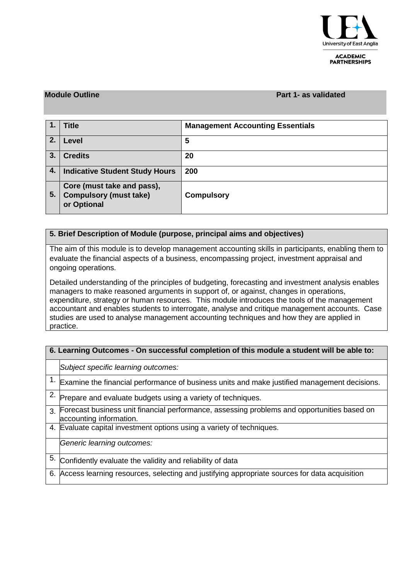

**ACADEMIC PARTNERSHIPS** 

#### **Module Outline Part 1- as validated**

|    | <b>Title</b>                                                               | <b>Management Accounting Essentials</b> |
|----|----------------------------------------------------------------------------|-----------------------------------------|
| 2. | Level                                                                      | 5                                       |
| 3. | <b>Credits</b>                                                             | 20                                      |
| 4. | <b>Indicative Student Study Hours</b>                                      | 200                                     |
| 5. | Core (must take and pass),<br><b>Compulsory (must take)</b><br>or Optional | <b>Compulsory</b>                       |

## **5. Brief Description of Module (purpose, principal aims and objectives)**

The aim of this module is to develop management accounting skills in participants, enabling them to evaluate the financial aspects of a business, encompassing project, investment appraisal and ongoing operations.

Detailed understanding of the principles of budgeting, forecasting and investment analysis enables managers to make reasoned arguments in support of, or against, changes in operations, expenditure, strategy or human resources. This module introduces the tools of the management accountant and enables students to interrogate, analyse and critique management accounts. Case studies are used to analyse management accounting techniques and how they are applied in practice.

## **6. Learning Outcomes - On successful completion of this module a student will be able to:**

|               | Subject specific learning outcomes:                                                                                    |  |  |  |  |
|---------------|------------------------------------------------------------------------------------------------------------------------|--|--|--|--|
|               | 1. Examine the financial performance of business units and make justified management decisions.                        |  |  |  |  |
|               | Prepare and evaluate budgets using a variety of techniques.                                                            |  |  |  |  |
| $\mathcal{R}$ | Forecast business unit financial performance, assessing problems and opportunities based on<br>accounting information. |  |  |  |  |
|               | 4. Evaluate capital investment options using a variety of techniques.                                                  |  |  |  |  |
|               | Generic learning outcomes:                                                                                             |  |  |  |  |
| 5.            | Confidently evaluate the validity and reliability of data                                                              |  |  |  |  |
| 6.            | Access learning resources, selecting and justifying appropriate sources for data acquisition                           |  |  |  |  |